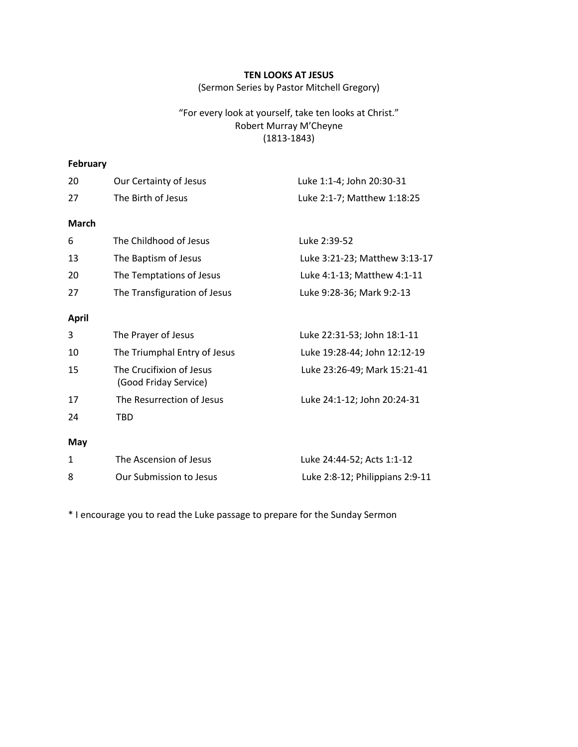## **TEN LOOKS AT JESUS**

(Sermon Series by Pastor Mitchell Gregory)

## "For every look at yourself, take ten looks at Christ." Robert Murray M'Cheyne (1813-1843)

# **February**

| 20           | Our Certainty of Jesus                            | Luke 1:1-4; John 20:30-31       |
|--------------|---------------------------------------------------|---------------------------------|
| 27           | The Birth of Jesus                                | Luke 2:1-7; Matthew 1:18:25     |
| <b>March</b> |                                                   |                                 |
| 6            | The Childhood of Jesus                            | Luke 2:39-52                    |
| 13           | The Baptism of Jesus                              | Luke 3:21-23; Matthew 3:13-17   |
| 20           | The Temptations of Jesus                          | Luke 4:1-13; Matthew 4:1-11     |
| 27           | The Transfiguration of Jesus                      | Luke 9:28-36; Mark 9:2-13       |
| <b>April</b> |                                                   |                                 |
| 3            | The Prayer of Jesus                               | Luke 22:31-53; John 18:1-11     |
| 10           | The Triumphal Entry of Jesus                      | Luke 19:28-44; John 12:12-19    |
| 15           | The Crucifixion of Jesus<br>(Good Friday Service) | Luke 23:26-49; Mark 15:21-41    |
| 17           | The Resurrection of Jesus                         | Luke 24:1-12; John 20:24-31     |
| 24           | <b>TBD</b>                                        |                                 |
| May          |                                                   |                                 |
| 1            | The Ascension of Jesus                            | Luke 24:44-52; Acts 1:1-12      |
| 8            | Our Submission to Jesus                           | Luke 2:8-12; Philippians 2:9-11 |

\* I encourage you to read the Luke passage to prepare for the Sunday Sermon